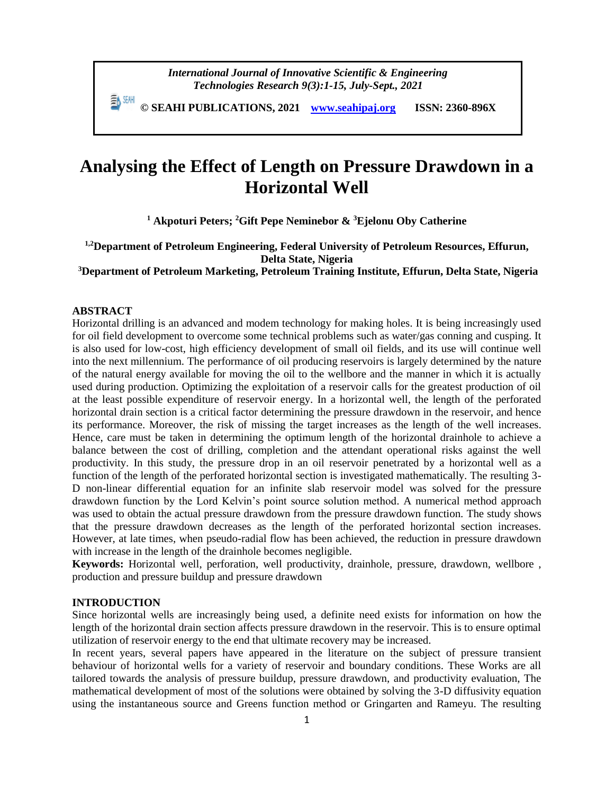**© SEAHI PUBLICATIONS, 2021 [www.seahipaj.org](http://www.seahipaj.org/) ISSN: 2360-896X**

# **Analysing the Effect of Length on Pressure Drawdown in a Horizontal Well**

**<sup>1</sup> Akpoturi Peters; <sup>2</sup>Gift Pepe Neminebor & <sup>3</sup>Ejelonu Oby Catherine**

**1,2Department of Petroleum Engineering, Federal University of Petroleum Resources, Effurun, Delta State, Nigeria** 

**<sup>3</sup>Department of Petroleum Marketing, Petroleum Training Institute, Effurun, Delta State, Nigeria**

## **ABSTRACT**

Horizontal drilling is an advanced and modem technology for making holes. It is being increasingly used for oil field development to overcome some technical problems such as water/gas conning and cusping. It is also used for low-cost, high efficiency development of small oil fields, and its use will continue well into the next millennium. The performance of oil producing reservoirs is largely determined by the nature of the natural energy available for moving the oil to the wellbore and the manner in which it is actually used during production. Optimizing the exploitation of a reservoir calls for the greatest production of oil at the least possible expenditure of reservoir energy. In a horizontal well, the length of the perforated horizontal drain section is a critical factor determining the pressure drawdown in the reservoir, and hence its performance. Moreover, the risk of missing the target increases as the length of the well increases. Hence, care must be taken in determining the optimum length of the horizontal drainhole to achieve a balance between the cost of drilling, completion and the attendant operational risks against the well productivity. In this study, the pressure drop in an oil reservoir penetrated by a horizontal well as a function of the length of the perforated horizontal section is investigated mathematically. The resulting 3- D non-linear differential equation for an infinite slab reservoir model was solved for the pressure drawdown function by the Lord Kelvin's point source solution method. A numerical method approach was used to obtain the actual pressure drawdown from the pressure drawdown function. The study shows that the pressure drawdown decreases as the length of the perforated horizontal section increases. However, at late times, when pseudo-radial flow has been achieved, the reduction in pressure drawdown with increase in the length of the drainhole becomes negligible.

**Keywords:** Horizontal well, perforation, well productivity, drainhole, pressure, drawdown, wellbore , production and pressure buildup and pressure drawdown

#### **INTRODUCTION**

Since horizontal wells are increasingly being used, a definite need exists for information on how the length of the horizontal drain section affects pressure drawdown in the reservoir. This is to ensure optimal utilization of reservoir energy to the end that ultimate recovery may be increased.

In recent years, several papers have appeared in the literature on the subject of pressure transient behaviour of horizontal wells for a variety of reservoir and boundary conditions. These Works are all tailored towards the analysis of pressure buildup, pressure drawdown, and productivity evaluation, The mathematical development of most of the solutions were obtained by solving the 3-D diffusivity equation using the instantaneous source and Greens function method or Gringarten and Rameyu. The resulting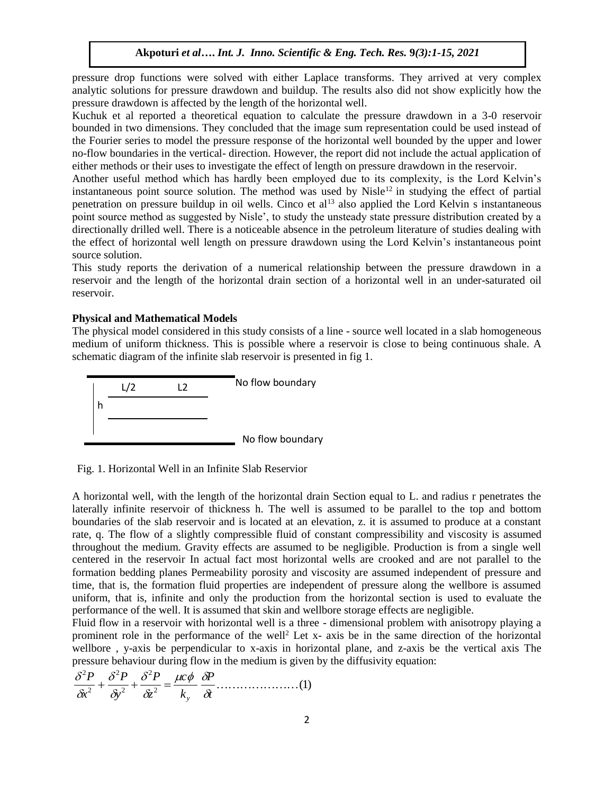pressure drop functions were solved with either Laplace transforms. They arrived at very complex analytic solutions for pressure drawdown and buildup. The results also did not show explicitly how the pressure drawdown is affected by the length of the horizontal well.

Kuchuk et al reported a theoretical equation to calculate the pressure drawdown in a 3-0 reservoir bounded in two dimensions. They concluded that the image sum representation could be used instead of the Fourier series to model the pressure response of the horizontal well bounded by the upper and lower no-flow boundaries in the vertical- direction. However, the report did not include the actual application of either methods or their uses to investigate the effect of length on pressure drawdown in the reservoir.

Another useful method which has hardly been employed due to its complexity, is the Lord Kelvin's instantaneous point source solution. The method was used by Nisle<sup>12</sup> in studying the effect of partial penetration on pressure buildup in oil wells. Cinco et al<sup>13</sup> also applied the Lord Kelvin s instantaneous point source method as suggested by Nisle', to study the unsteady state pressure distribution created by a directionally drilled well. There is a noticeable absence in the petroleum literature of studies dealing with the effect of horizontal well length on pressure drawdown using the Lord Kelvin's instantaneous point source solution.

This study reports the derivation of a numerical relationship between the pressure drawdown in a reservoir and the length of the horizontal drain section of a horizontal well in an under-saturated oil reservoir.

#### **Physical and Mathematical Models**

The physical model considered in this study consists of a line - source well located in a slab homogeneous medium of uniform thickness. This is possible where a reservoir is close to being continuous shale. A schematic diagram of the infinite slab reservoir is presented in fig 1.



Fig. 1. Horizontal Well in an Infinite Slab Reservior

A horizontal well, with the length of the horizontal drain Section equal to L. and radius r penetrates the laterally infinite reservoir of thickness h. The well is assumed to be parallel to the top and bottom boundaries of the slab reservoir and is located at an elevation, z. it is assumed to produce at a constant rate, q. The flow of a slightly compressible fluid of constant compressibility and viscosity is assumed throughout the medium. Gravity effects are assumed to be negligible. Production is from a single well centered in the reservoir In actual fact most horizontal wells are crooked and are not parallel to the formation bedding planes Permeability porosity and viscosity are assumed independent of pressure and time, that is, the formation fluid properties are independent of pressure along the wellbore is assumed uniform, that is, infinite and only the production from the horizontal section is used to evaluate the performance of the well. It is assumed that skin and wellbore storage effects are negligible.

Fluid flow in a reservoir with horizontal well is a three - dimensional problem with anisotropy playing a prominent role in the performance of the well<sup>2</sup> Let x- axis be in the same direction of the horizontal wellbore , y-axis be perpendicular to x-axis in horizontal plane, and z-axis be the vertical axis The pressure behaviour during flow in the medium is given by the diffusivity equation:

$$
\frac{\delta^2 P}{\delta x^2} + \frac{\delta^2 P}{\delta y^2} + \frac{\delta^2 P}{\delta z^2} = \frac{\mu c \phi}{k_y} \frac{\delta P}{\delta t} \dots \dots \dots \dots \dots \dots \dots (1)
$$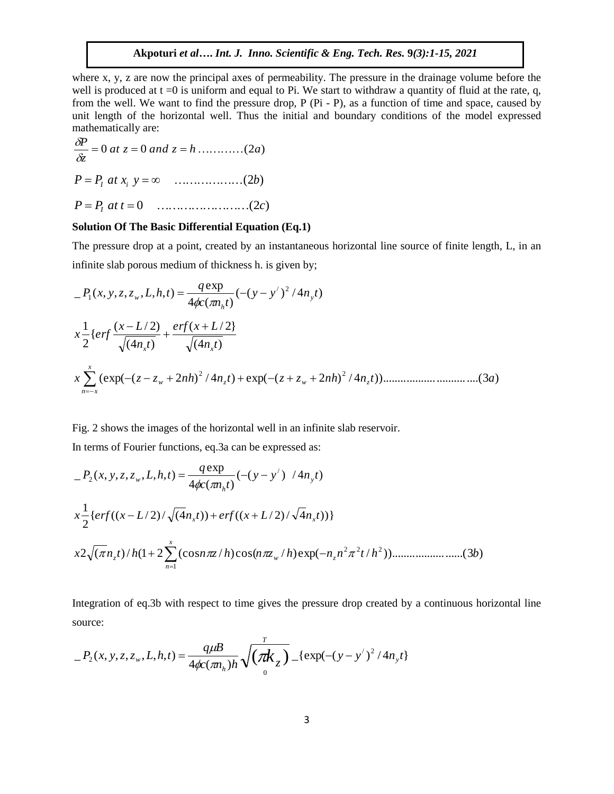where x, y, z are now the principal axes of permeability. The pressure in the drainage volume before the well is produced at  $t = 0$  is uniform and equal to Pi. We start to withdraw a quantity of fluid at the rate, q, from the well. We want to find the pressure drop, P (Pi - P), as a function of time and space, caused by unit length of the horizontal well. Thus the initial and boundary conditions of the model expressed mathematically are:

$$
\frac{\delta P}{\delta z} = 0 \text{ at } z = 0 \text{ and } z = h \dots \dots \dots \dots (2a)
$$

*P P at x y* (2*b*) *I i*

*P P at t* 0 (2*c*) *I*

### **Solution Of The Basic Differential Equation (Eq.1)**

The pressure drop at a point, created by an instantaneous horizontal line source of finite length, L, in an infinite slab porous medium of thickness h. is given by;

( ( ) / 4 ) 4 ( ) exp \_ ( , , , , , , ) / 2 1 *y y n t c n t q P x y z z L h t y h w* (4 ) ( / 2} (4 ) ( / 2) { 2 1 *n t erf x L n t x L x erf x x* (exp( ( 2 ) / 4 ) exp( ( 2 ) / 4 ))................................(3 ) 2 2 *<sup>x</sup> <sup>z</sup> <sup>z</sup> n h <sup>n</sup> <sup>t</sup> <sup>z</sup> <sup>z</sup> n h <sup>n</sup> <sup>t</sup> <sup>a</sup> <sup>w</sup> <sup>z</sup> <sup>w</sup> <sup>z</sup> x n x* 

#### Fig. 2 shows the images of the horizontal well in an infinite slab reservoir.

In terms of Fourier functions, eq.3a can be expressed as:

$$
P_2(x, y, z, z_w, L, h, t) = \frac{q \exp}{4\phi c(\pi n_h t)} (-(y - y') / 4n_y t)
$$
  

$$
x \frac{1}{2} \{ erf((x - L/2) / \sqrt{(4n_x t)}) + erf((x + L/2) / \sqrt{4n_x t})) \}
$$
  

$$
x 2\sqrt{(\pi n_z t) / h(1 + 2\sum_{n=1}^{x} (cos n\pi z / h) cos(n\pi z_w / h) exp(-n_z n^2 \pi^2 t / h^2)) \dots \dots \dots \dots \dots (3b)}
$$

Integration of eq.3b with respect to time gives the pressure drop created by a continuous horizontal line source:

$$
P_2(x, y, z, z_w, L, h, t) = \frac{q\mu}{4\phi c(\pi n_h)h} \sqrt{\left(\frac{\pi k}{g}\right)^2} \left[ \exp(-(y - y')^2 / 4n_y t) \right]
$$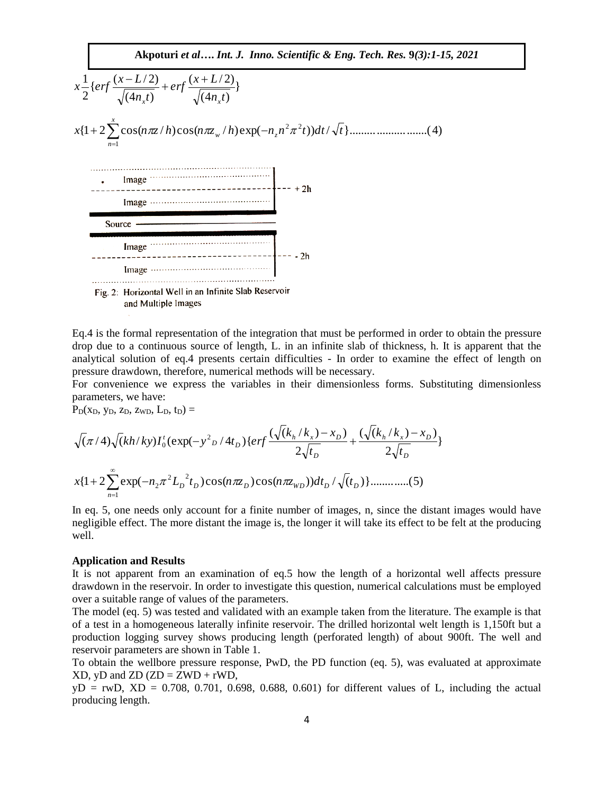

Eq.4 is the formal representation of the integration that must be performed in order to obtain the pressure drop due to a continuous source of length, L. in an infinite slab of thickness, h. It is apparent that the analytical solution of eq.4 presents certain difficulties - In order to examine the effect of length on pressure drawdown, therefore, numerical methods will be necessary.

For convenience we express the variables in their dimensionless forms. Substituting dimensionless parameters, we have:

 $P_D(x_D, y_D, z_D, z_{WD}, L_D, t_D) =$ 

parameters, we have:  
\n
$$
P_{D}(x_{D}, y_{D}, z_{D}, z_{WD}, L_{D}, t_{D}) =
$$
\n
$$
\sqrt{(\pi/4)\sqrt{(kh/ky)I_{0}^{t}}(\exp(-y^{2}D/4t_{D})\{erf\frac{(\sqrt{(k_{h}/k_{x})-x_{D}})}{2\sqrt{t_{D}}}+\frac{(\sqrt{(k_{h}/k_{x})-x_{D}})}{2\sqrt{t_{D}}}\}}
$$
\n
$$
x\{1+2\sum_{n=1}^{\infty}\exp(-n_{2}\pi^{2}L_{D}^{-2}t_{D})\cos(n\pi z_{D})\cos(n\pi z_{WD}))dt_{D}/\sqrt{(t_{D})}\}
$$
\n............(5)

In eq. 5, one needs only account for a finite number of images, n, since the distant images would have negligible effect. The more distant the image is, the longer it will take its effect to be felt at the producing well.

#### **Application and Results**

 $n=1$ 

It is not apparent from an examination of eq.5 how the length of a horizontal well affects pressure drawdown in the reservoir. In order to investigate this question, numerical calculations must be employed over a suitable range of values of the parameters.

The model (eq. 5) was tested and validated with an example taken from the literature. The example is that of a test in a homogeneous laterally infinite reservoir. The drilled horizontal welt length is 1,150ft but a production logging survey shows producing length (perforated length) of about 900ft. The well and reservoir parameters are shown in Table 1.

To obtain the wellbore pressure response, PwD, the PD function (eq. 5), was evaluated at approximate  $XD$ , yD and  $ZD$  ( $ZD = ZWD + rWD$ ),

 $yD = rWD$ ,  $XD = 0.708$ , 0.701, 0.698, 0.688, 0.601) for different values of L, including the actual producing length.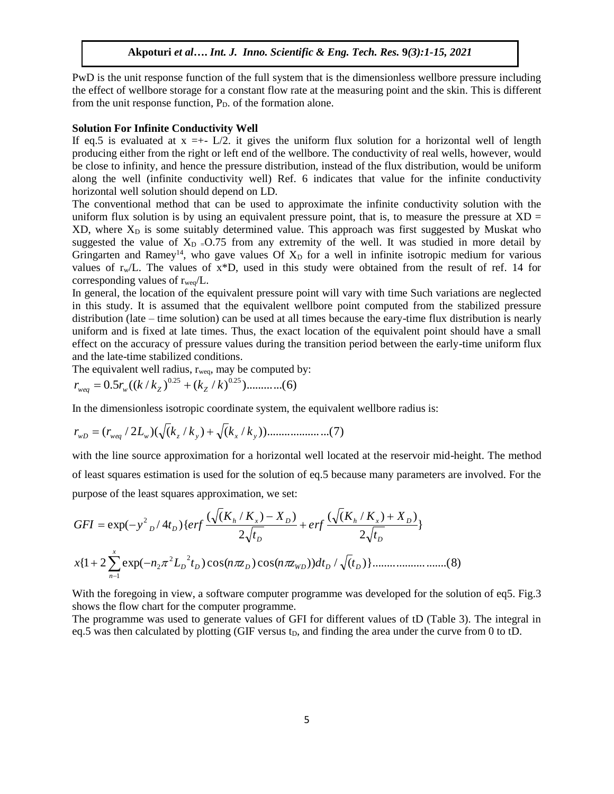PwD is the unit response function of the full system that is the dimensionless wellbore pressure including the effect of wellbore storage for a constant flow rate at the measuring point and the skin. This is different from the unit response function,  $P<sub>D</sub>$  of the formation alone.

#### **Solution For Infinite Conductivity Well**

If eq.5 is evaluated at  $x = +L/2$ . it gives the uniform flux solution for a horizontal well of length producing either from the right or left end of the wellbore. The conductivity of real wells, however, would be close to infinity, and hence the pressure distribution, instead of the flux distribution, would be uniform along the well (infinite conductivity well) Ref. 6 indicates that value for the infinite conductivity horizontal well solution should depend on LD.

The conventional method that can be used to approximate the infinite conductivity solution with the uniform flux solution is by using an equivalent pressure point, that is, to measure the pressure at  $XD =$  $XD$ , where  $X<sub>D</sub>$  is some suitably determined value. This approach was first suggested by Muskat who suggested the value of  $X_D = 0.75$  from any extremity of the well. It was studied in more detail by Gringarten and Ramey<sup>14</sup>, who gave values Of  $X<sub>D</sub>$  for a well in infinite isotropic medium for various values of  $r_w/L$ . The values of  $x*D$ , used in this study were obtained from the result of ref. 14 for corresponding values of  $r_{\text{weq}}/L$ .

In general, the location of the equivalent pressure point will vary with time Such variations are neglected in this study. It is assumed that the equivalent wellbore point computed from the stabilized pressure distribution (late – time solution) can be used at all times because the eary-time flux distribution is nearly uniform and is fixed at late times. Thus, the exact location of the equivalent point should have a small effect on the accuracy of pressure values during the transition period between the early-time uniform flux and the late-time stabilized conditions.

The equivalent well radius,  $r_{\text{weg}}$ , may be computed by:

$$
r_{weq} = 0.5r_w((k/k_Z)^{0.25} + (k_Z/k)^{0.25}) \dots \dots \dots \dots (6)
$$

In the dimensionless isotropic coordinate system, the equivalent wellbore radius is:

$$
r_{WD} = (r_{weg} / 2L_w)(\sqrt{k_z / k_y}) + \sqrt{k_x / k_y}) \dots \dots \dots \dots \dots \dots \dots (7)
$$

with the line source approximation for a horizontal well located at the reservoir mid-height. The method of least squares estimation is used for the solution of eq.5 because many parameters are involved. For the purpose of the least squares approximation, we set:

for least squares summation is used for the solution of eq.5 because many parameters are  
\npurpose of the least squares approximation, we set:  
\n
$$
GFI = \exp(-y^2_D/4t_D)\{erf\frac{(\sqrt{(K_h/K_x)} - X_D)}{2\sqrt{t_D}} + erf\frac{(\sqrt{(K_h/K_x)} + X_D)}{2\sqrt{t_D}}\}
$$
\n
$$
x\{1 + 2\sum_{n=1}^{x} \exp(-n_2\pi^2 L_D^2 t_D)\cos(n\pi z_D)\cos(n\pi z_{WD}))dt_D/\sqrt{(t_D)}\}
$$
\n(8)

With the foregoing in view, a software computer programme was developed for the solution of eq5. Fig.3 shows the flow chart for the computer programme.

The programme was used to generate values of GFI for different values of tD (Table 3). The integral in eq.5 was then calculated by plotting (GIF versus  $t<sub>D</sub>$ , and finding the area under the curve from 0 to tD.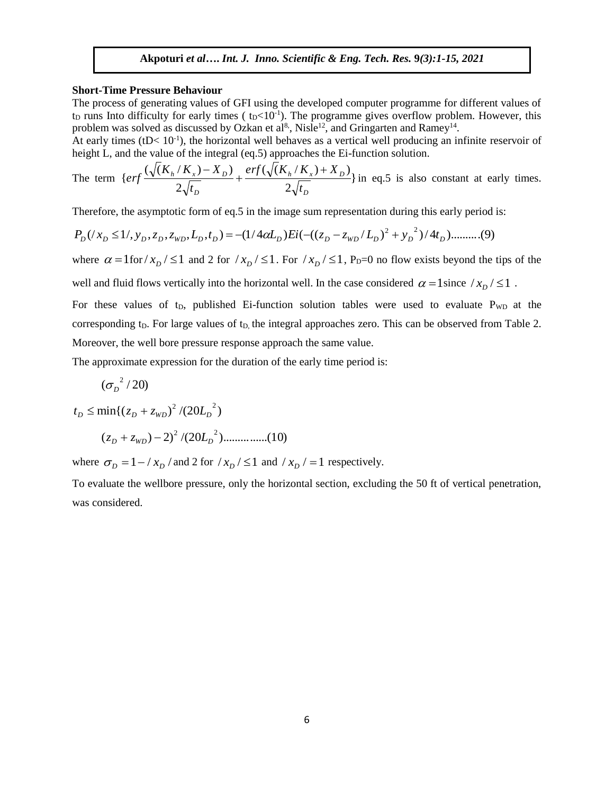#### **Short-Time Pressure Behaviour**

The process of generating values of GFI using the developed computer programme for different values of  $t_D$  runs Into difficulty for early times ( $t_D < 10^{-1}$ ). The programme gives overflow problem. However, this problem was solved as discussed by Ozkan et al<sup>8</sup>, Nisle<sup>12</sup>, and Gringarten and Ramey<sup>14</sup>.

At early times  $(tD<10^{-1})$ , the horizontal well behaves as a vertical well producing an infinite reservoir of height L, and the value of the integral (eq.5) approaches the Ei-function solution.

The term 
$$
\{ erf \frac{(\sqrt{(K_h/K_x) - X_D})}{2\sqrt{t_D}} + \frac{erf(\sqrt{(K_h/K_x) + X_D})}{2\sqrt{t_D}} \}
$$
 in eq.5 is also constant at early times.

Therefore, the asymptotic form of eq.5 in the image sum representation during this early period is:  
\n
$$
P_D((x_D \le 1/\, y_D, z_D, z_{WD}, L_D, t_D) = -(1/4\alpha L_D)Ei(-(z_D - z_{WD}/L_D)^2 + y_D^2)/4t_D) \dots \dots \dots (9)
$$

where  $\alpha = 1$  for  $x_D$  /  $\leq 1$  and 2 for  $/x_D$  /  $\leq 1$ . For  $/x_D$  /  $\leq 1$ , P<sub>D</sub>=0 no flow exists beyond the tips of the

well and fluid flows vertically into the horizontal well. In the case considered  $\alpha = 1$  since  $/x_D / \leq 1$ .

For these values of  $t_D$ , published Ei-function solution tables were used to evaluate  $P_{WD}$  at the corresponding t<sub>D</sub>. For large values of t<sub>D</sub>, the integral approaches zero. This can be observed from Table 2. Moreover, the well bore pressure response approach the same value.

The approximate expression for the duration of the early time period is:

$$
(\sigma_{\overline{D}}^{\;\;2}/20)
$$

$$
t_D \le \min\{(z_D + z_{WD})^2 / (20L_D^2)
$$
  

$$
(z_D + z_{WD}) - 2)^2 / (20L_D^2) \dots \dots \dots (10)
$$

where  $\sigma_D = 1 - \frac{\lambda_D}{\lambda_D}$  and 2 for  $\frac{\lambda_D}{\leq 1}$  and  $\frac{\lambda_D}{= 1}$  respectively.

To evaluate the wellbore pressure, only the horizontal section, excluding the 50 ft of vertical penetration, was considered.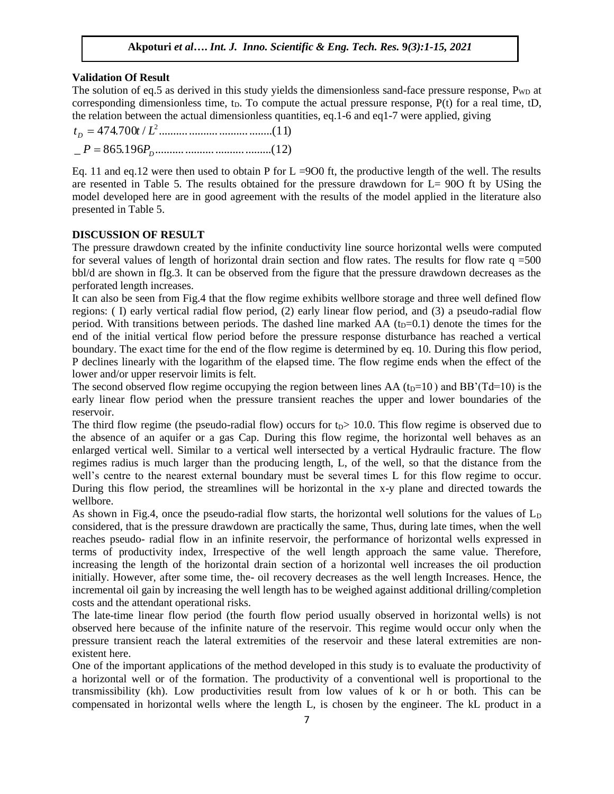### **Validation Of Result**

The solution of eq.5 as derived in this study yields the dimensionless sand-face pressure response,  $P_{WD}$  at corresponding dimensionless time,  $t<sub>D</sub>$ . To compute the actual pressure response, P(t) for a real time, tD, the relation between the actual dimensionless quantities, eq.1-6 and eq1-7 were applied, giving

\_ 865.196 .......................................(12) 474.700 / ......................................(11) 2 *D D P P t t L* 

Eq. 11 and eq.12 were then used to obtain P for  $L = 900$  ft, the productive length of the well. The results are resented in Table 5. The results obtained for the pressure drawdown for L= 90O ft by USing the model developed here are in good agreement with the results of the model applied in the literature also presented in Table 5.

### **DISCUSSION OF RESULT**

The pressure drawdown created by the infinite conductivity line source horizontal wells were computed for several values of length of horizontal drain section and flow rates. The results for flow rate  $q = 500$ bbl/d are shown in fIg.3. It can be observed from the figure that the pressure drawdown decreases as the perforated length increases.

It can also be seen from Fig.4 that the flow regime exhibits wellbore storage and three well defined flow regions: ( I) early vertical radial flow period, (2) early linear flow period, and (3) a pseudo-radial flow period. With transitions between periods. The dashed line marked AA  $(t_D=0.1)$  denote the times for the end of the initial vertical flow period before the pressure response disturbance has reached a vertical boundary. The exact time for the end of the flow regime is determined by eq. 10. During this flow period, P declines linearly with the logarithm of the elapsed time. The flow regime ends when the effect of the lower and/or upper reservoir limits is felt.

The second observed flow regime occupying the region between lines AA ( $t<sub>D</sub>=10$ ) and BB'(Td=10) is the early linear flow period when the pressure transient reaches the upper and lower boundaries of the reservoir.

The third flow regime (the pseudo-radial flow) occurs for  $t<sub>D</sub>$  10.0. This flow regime is observed due to the absence of an aquifer or a gas Cap. During this flow regime, the horizontal well behaves as an enlarged vertical well. Similar to a vertical well intersected by a vertical Hydraulic fracture. The flow regimes radius is much larger than the producing length, L, of the well, so that the distance from the well's centre to the nearest external boundary must be several times L for this flow regime to occur. During this flow period, the streamlines will be horizontal in the x-y plane and directed towards the wellbore.

As shown in Fig.4, once the pseudo-radial flow starts, the horizontal well solutions for the values of  $L<sub>D</sub>$ considered, that is the pressure drawdown are practically the same, Thus, during late times, when the well reaches pseudo- radial flow in an infinite reservoir, the performance of horizontal wells expressed in terms of productivity index, Irrespective of the well length approach the same value. Therefore, increasing the length of the horizontal drain section of a horizontal well increases the oil production initially. However, after some time, the- oil recovery decreases as the well length Increases. Hence, the incremental oil gain by increasing the well length has to be weighed against additional drilling/completion costs and the attendant operational risks.

The late-time linear flow period (the fourth flow period usually observed in horizontal wells) is not observed here because of the infinite nature of the reservoir. This regime would occur only when the pressure transient reach the lateral extremities of the reservoir and these lateral extremities are nonexistent here.

One of the important applications of the method developed in this study is to evaluate the productivity of a horizontal well or of the formation. The productivity of a conventional well is proportional to the transmissibility (kh). Low productivities result from low values of k or h or both. This can be compensated in horizontal wells where the length L, is chosen by the engineer. The kL product in a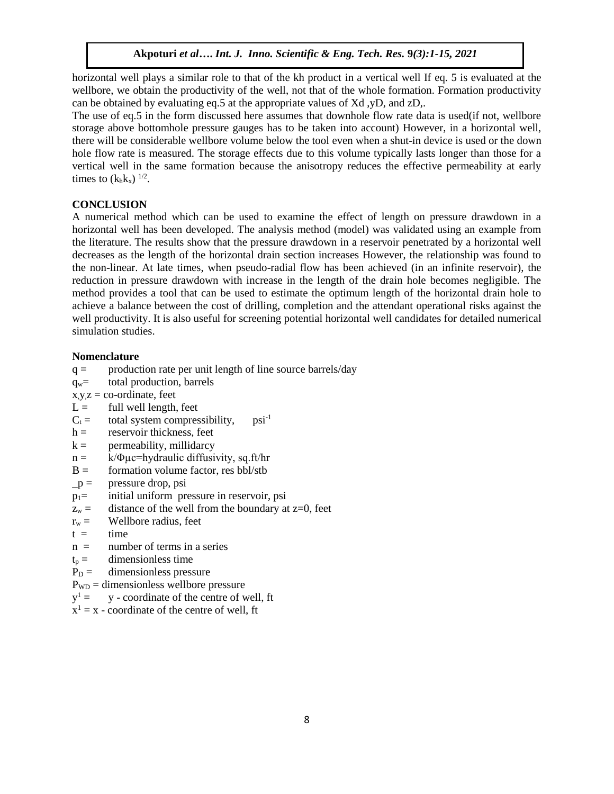horizontal well plays a similar role to that of the kh product in a vertical well If eq. 5 is evaluated at the wellbore, we obtain the productivity of the well, not that of the whole formation. Formation productivity can be obtained by evaluating eq.5 at the appropriate values of Xd ,yD, and zD,.

The use of eq.5 in the form discussed here assumes that downhole flow rate data is used(if not, wellbore storage above bottomhole pressure gauges has to be taken into account) However, in a horizontal well, there will be considerable wellbore volume below the tool even when a shut-in device is used or the down hole flow rate is measured. The storage effects due to this volume typically lasts longer than those for a vertical well in the same formation because the anisotropy reduces the effective permeability at early times to  $(k_h k_x)$  <sup>1/2</sup>.

### **CONCLUSION**

A numerical method which can be used to examine the effect of length on pressure drawdown in a horizontal well has been developed. The analysis method (model) was validated using an example from the literature. The results show that the pressure drawdown in a reservoir penetrated by a horizontal well decreases as the length of the horizontal drain section increases However, the relationship was found to the non-linear. At late times, when pseudo-radial flow has been achieved (in an infinite reservoir), the reduction in pressure drawdown with increase in the length of the drain hole becomes negligible. The method provides a tool that can be used to estimate the optimum length of the horizontal drain hole to achieve a balance between the cost of drilling, completion and the attendant operational risks against the well productivity. It is also useful for screening potential horizontal well candidates for detailed numerical simulation studies.

### **Nomenclature**

- $q =$  production rate per unit length of line source barrels/day
- qw= total production, barrels
- $x,y,z = co-ordinate$ , feet
- $L =$  full well length, feet
- $C_t$  = total system compressibility, psi<sup>-1</sup>
- $h =$  reservoir thickness, feet
- $k =$  permeability, millidarcy
- $n = k/\Phi \mu c = hyd$ raulic diffusivity, sq.ft/hr
- $B =$  formation volume factor, res bbl/stb
- $-p =$  pressure drop, psi
- p1= initial uniform pressure in reservoir, psi
- $z_w =$  distance of the well from the boundary at  $z=0$ , feet
- $r_w =$  Wellbore radius, feet
- $t =$  time
- $n =$  number of terms in a series
- $t_p =$  dimensionless time
- $P_D =$  dimensionless pressure
- $P_{WD}$  = dimensionless wellbore pressure
- $v^1 =$ y - coordinate of the centre of well, ft
- $x^1 = x$  coordinate of the centre of well, ft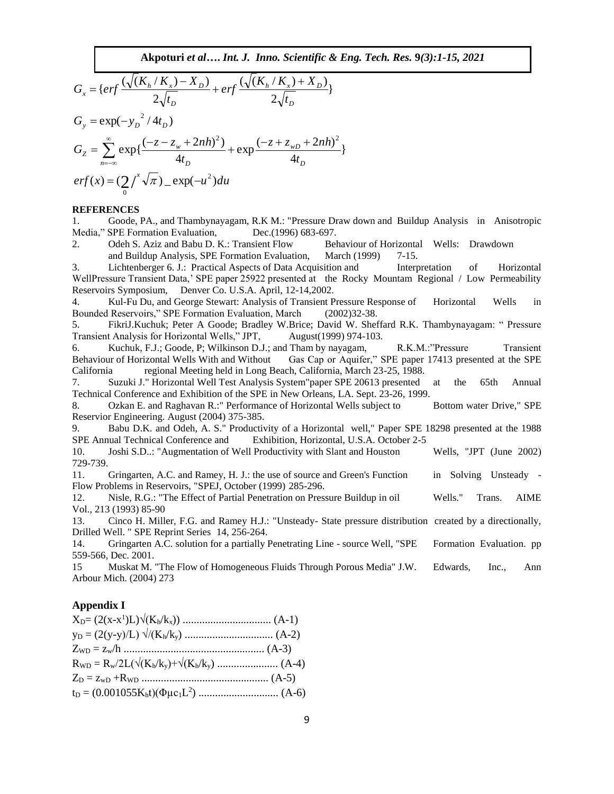$$
G_x = \{ erf \frac{(\sqrt{(K_h/K_x) - X_D})}{2\sqrt{t_D}} + erf \frac{(\sqrt{(K_h/K_x) + X_D})}{2\sqrt{t_D}} \}
$$
  
\n
$$
G_y = \exp(-y_D^{2/4t_D})
$$
  
\n
$$
G_z = \sum_{n=-\infty}^{\infty} \exp\{\frac{(-z - z_w + 2nh)^2}{4t_D} + \exp\frac{(-z + z_{wD} + 2nh)^2}{4t_D} \}
$$
  
\n
$$
erf(x) = (2/\sqrt{x}) \sqrt{\pi} - \exp(-u^2) du
$$

#### **REFERENCES**

1. Goode, PA., and Thambynayagam, R.K M.: "Pressure Draw down and Buildup Analysis in Anisotropic Media," SPE Formation Evaluation, Dec.(1996) 683-697.

2. Odeh S. Aziz and Babu D. K.: Transient Flow Behaviour of Horizontal Wells: Drawdown and Buildup Analysis, SPE Formation Evaluation, March (1999) 7-15.

3. Lichtenberger 6. J.: Practical Aspects of Data Acquisition and Interpretation of Horizontal WellPressure Transient Data,' SPE paper 25922 presented at the Rocky Mountam Regional / Low Permeability Reservoirs Symposium, Denver Co. U.S.A. April, 12-14,2002.

4. Kul-Fu Du, and George Stewart: Analysis of Transient Pressure Response of Horizontal Wells in Bounded Reservoirs," SPE Formation Evaluation, March (2002)32-38.

5. FikriJ.Kuchuk; Peter A Goode; Bradley W.Brice; David W. Sheffard R.K. Thambynayagam: " Pressure Transient Analysis for Horizontal Wells," JPT, August(1999) 974-103.

6. Kuchuk, F.J.; Goode, P; Wilkinson D.J.; and Tham by nayagam, R.K.M.:"Pressure Transient Behaviour of Horizontal Wells With and Without Gas Cap or Aquifer," SPE paper 17413 presented at the SPE California regional Meeting held in Long Beach, California, March 23-25, 1988.

7. Suzuki J." Horizontal Well Test Analysis System"paper SPE 20613 presented at the 65th Annual Technical Conference and Exhibition of the SPE in New Orleans, LA. Sept. 23-26, 1999.

8. Ozkan E. and Raghavan R.: " Performance of Horizontal Wells subject to Bottom water Drive," SPE Reservior Engineering. August (2004) 375-385.

9. Babu D.K. and Odeh, A. S." Productivity of a Horizontal well," Paper SPE 18298 presented at the 1988 SPE Annual Technical Conference and Exhibition, Horizontal, U.S.A. October 2-5

10. Joshi S.D..: "Augmentation of Well Productivity with Slant and Houston Wells, "JPT (June 2002) 729-739.

11. Gringarten, A.C. and Ramey, H. J.: the use of source and Green's Function in Solving Unsteady - Flow Problems in Reservoirs, "SPEJ, October (1999) 285-296.

12. Nisle, R.G.: "The Effect of Partial Penetration on Pressure Buildup in oil Wells." Trans. AIME Vol., 213 (1993) 85-90

13. Cinco H. Miller, F.G. and Ramey H.J.: "Unsteady- State pressure distribution created by a directionally, Drilled Well. " SPE Reprint Series 14, 256-264.

14. Gringarten A.C. solution for a partially Penetrating Line - source Well, "SPE Formation Evaluation. pp 559-566, Dec. 2001.

15 Muskat M. "The Flow of Homogeneous Fluids Through Porous Media" J.W. Edwards, Inc., Ann Arbour Mich. (2004) 273

#### **Appendix I**

| $y_D = (2(y-y)/L) \sqrt{(K_h/k_y) \dots (K_h/k_y)}$ |  |
|-----------------------------------------------------|--|
|                                                     |  |
|                                                     |  |
|                                                     |  |
|                                                     |  |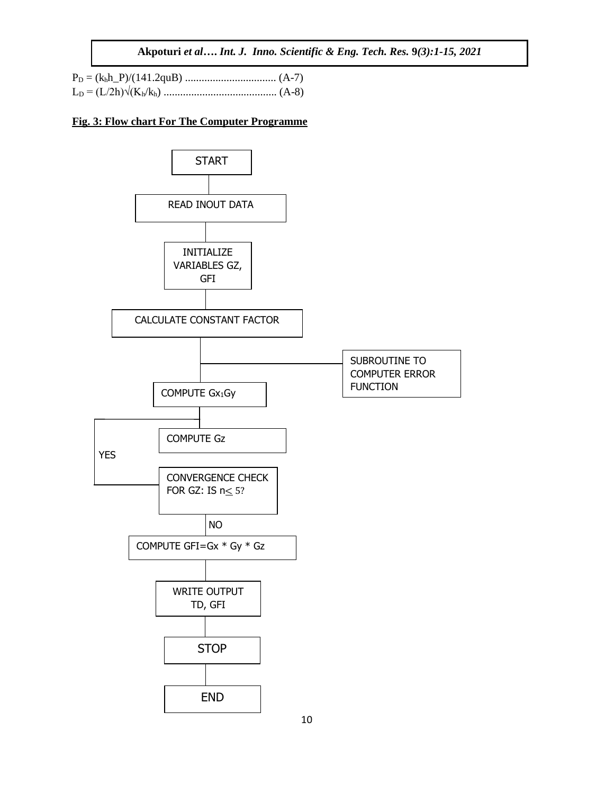### **Fig. 3: Flow chart For The Computer Programme**

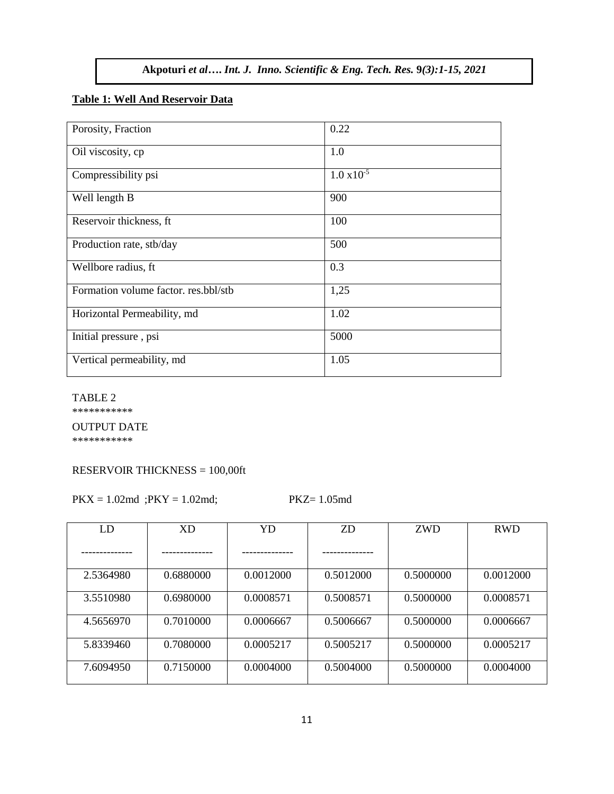# **Table 1: Well And Reservoir Data**

| Porosity, Fraction                   | 0.22                 |
|--------------------------------------|----------------------|
| Oil viscosity, cp                    | 1.0                  |
| Compressibility psi                  | $1.0 \times 10^{-5}$ |
| Well length B                        | 900                  |
| Reservoir thickness, ft              | 100                  |
| Production rate, stb/day             | 500                  |
| Wellbore radius, ft                  | 0.3                  |
| Formation volume factor. res.bbl/stb | 1,25                 |
| Horizontal Permeability, md          | 1.02                 |
| Initial pressure, psi                | 5000                 |
| Vertical permeability, md            | 1.05                 |

#### TABLE 2

\*\*\*\*\*\*\*\*\*\*\*

#### OUTPUT DATE

\*\*\*\*\*\*\*\*\*\*\*

# RESERVOIR THICKNESS = 100,00ft

 $PKX = 1.02$ md ; $PKY = 1.02$ md; PKZ= 1.05md

| LD        | <b>XD</b> | YD        | <b>ZD</b> | <b>ZWD</b> | <b>RWD</b> |
|-----------|-----------|-----------|-----------|------------|------------|
|           |           |           |           |            |            |
| 2.5364980 | 0.6880000 | 0.0012000 | 0.5012000 | 0.5000000  | 0.0012000  |
| 3.5510980 | 0.6980000 | 0.0008571 | 0.5008571 | 0.5000000  | 0.0008571  |
| 4.5656970 | 0.7010000 | 0.0006667 | 0.5006667 | 0.5000000  | 0.0006667  |
| 5.8339460 | 0.7080000 | 0.0005217 | 0.5005217 | 0.5000000  | 0.0005217  |
| 7.6094950 | 0.7150000 | 0.0004000 | 0.5004000 | 0.5000000  | 0.0004000  |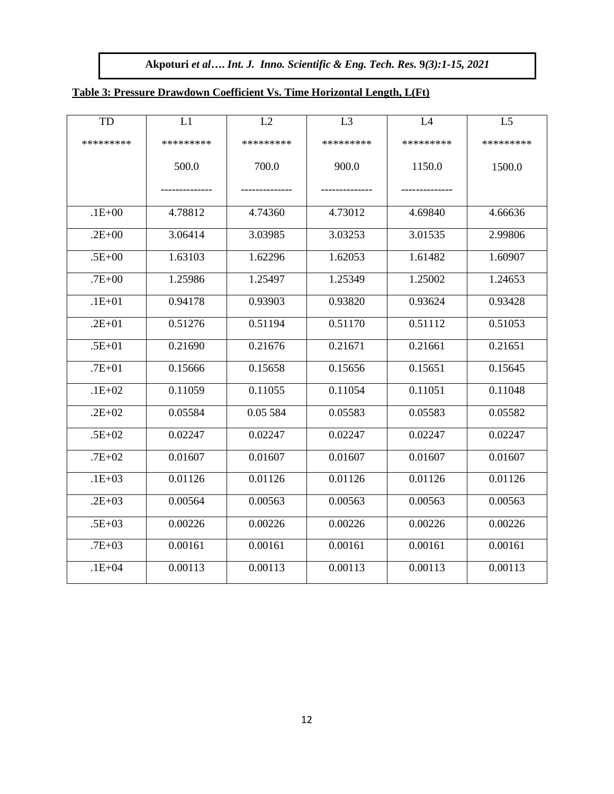# **Table 3: Pressure Drawdown Coefficient Vs. Time Horizontal Length, L(Ft)**

| TD         | L1        | L2        | L3        | L4        | L <sub>5</sub> |
|------------|-----------|-----------|-----------|-----------|----------------|
| *********  | ********* | ********* | ********* | ********* | *********      |
|            | 500.0     | 700.0     | 900.0     | 1150.0    | 1500.0         |
|            |           |           |           |           |                |
| $.1E + 00$ | 4.78812   | 4.74360   | 4.73012   | 4.69840   | 4.66636        |
| $.2E + 00$ | 3.06414   | 3.03985   | 3.03253   | 3.01535   | 2.99806        |
| $.5E + 00$ | 1.63103   | 1.62296   | 1.62053   | 1.61482   | 1.60907        |
| $.7E + 00$ | 1.25986   | 1.25497   | 1.25349   | 1.25002   | 1.24653        |
| $.1E + 01$ | 0.94178   | 0.93903   | 0.93820   | 0.93624   | 0.93428        |
| $.2E + 01$ | 0.51276   | 0.51194   | 0.51170   | 0.51112   | 0.51053        |
| $.5E + 01$ | 0.21690   | 0.21676   | 0.21671   | 0.21661   | 0.21651        |
| $.7E + 01$ | 0.15666   | 0.15658   | 0.15656   | 0.15651   | 0.15645        |
| $.1E + 02$ | 0.11059   | 0.11055   | 0.11054   | 0.11051   | 0.11048        |
| $.2E + 02$ | 0.05584   | 0.05 584  | 0.05583   | 0.05583   | 0.05582        |
| $.5E + 02$ | 0.02247   | 0.02247   | 0.02247   | 0.02247   | 0.02247        |
| $.7E + 02$ | 0.01607   | 0.01607   | 0.01607   | 0.01607   | 0.01607        |
| $.1E + 03$ | 0.01126   | 0.01126   | 0.01126   | 0.01126   | 0.01126        |
| $.2E + 03$ | 0.00564   | 0.00563   | 0.00563   | 0.00563   | 0.00563        |
| $.5E + 03$ | 0.00226   | 0.00226   | 0.00226   | 0.00226   | 0.00226        |
| $.7E + 03$ | 0.00161   | 0.00161   | 0.00161   | 0.00161   | 0.00161        |
| $.1E + 04$ | 0.00113   | 0.00113   | 0.00113   | 0.00113   | 0.00113        |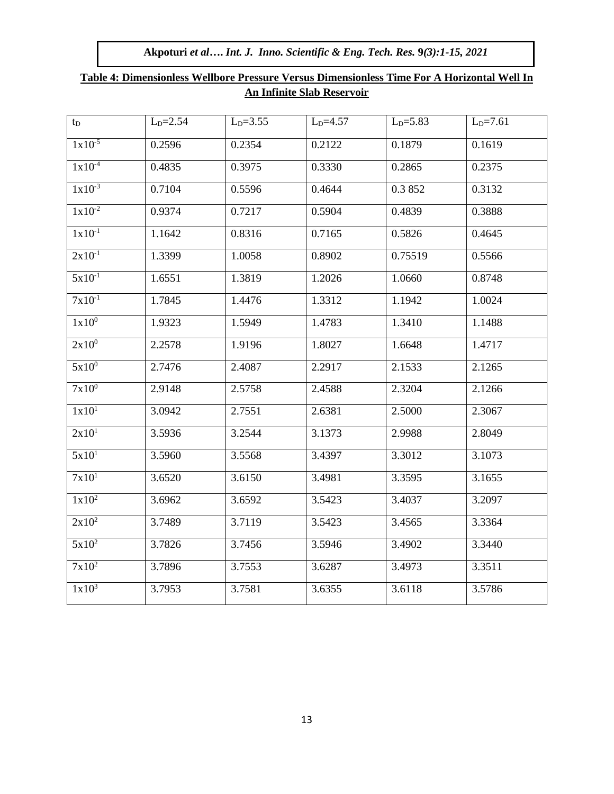| $t_D$             | $L_{D} = 2.54$ | $LD=3.55$ | $L_{D} = 4.57$ | $LD=5.83$ | $L_{D} = 7.61$ |  |
|-------------------|----------------|-----------|----------------|-----------|----------------|--|
| $1x10^{-5}$       | 0.2596         | 0.2354    | 0.2122         | 0.1879    | 0.1619         |  |
| $1x10^{-4}$       | 0.4835         | 0.3975    | 0.3330         | 0.2865    | 0.2375         |  |
| $1x10^{-3}$       | 0.7104         | 0.5596    | 0.4644         | 0.3852    | 0.3132         |  |
| $1x10^{-2}$       | 0.9374         | 0.7217    | 0.5904         | 0.4839    | 0.3888         |  |
| $1x10^{-1}$       | 1.1642         | 0.8316    | 0.7165         | 0.5826    | 0.4645         |  |
| $2x10^{-1}$       | 1.3399         | 1.0058    | 0.8902         | 0.75519   | 0.5566         |  |
| $5x10^{-1}$       | 1.6551         | 1.3819    | 1.2026         | 1.0660    | 0.8748         |  |
| $7x10^{-1}$       | 1.7845         | 1.4476    | 1.3312         | 1.1942    | 1.0024         |  |
| 1x10 <sup>0</sup> | 1.9323         | 1.5949    | 1.4783         | 1.3410    | 1.1488         |  |
| $2x10^0$          | 2.2578         | 1.9196    | 1.8027         | 1.6648    | 1.4717         |  |
| $5x10^0$          | 2.7476         | 2.4087    | 2.2917         | 2.1533    | 2.1265         |  |
| $7x10^0$          | 2.9148         | 2.5758    | 2.4588         | 2.3204    | 2.1266         |  |
| 1x10 <sup>1</sup> | 3.0942         | 2.7551    | 2.6381         | 2.5000    | 2.3067         |  |
| 2x10 <sup>1</sup> | 3.5936         | 3.2544    | 3.1373         | 2.9988    | 2.8049         |  |
| 5x10 <sup>1</sup> | 3.5960         | 3.5568    | 3.4397         | 3.3012    | 3.1073         |  |
| 7x10 <sup>1</sup> | 3.6520         | 3.6150    | 3.4981         | 3.3595    | 3.1655         |  |
| $1x10^2$          | 3.6962         | 3.6592    | 3.5423         | 3.4037    | 3.2097         |  |
| $2x10^2$          | 3.7489         | 3.7119    | 3.5423         | 3.4565    | 3.3364         |  |
| $5x10^2$          | 3.7826         | 3.7456    | 3.5946         | 3.4902    | 3.3440         |  |
| $7x10^2$          | 3.7896         | 3.7553    | 3.6287         | 3.4973    | 3.3511         |  |
| $1x10^3$          | 3.7953         | 3.7581    | 3.6355         | 3.6118    | 3.5786         |  |

# **Table 4: Dimensionless Wellbore Pressure Versus Dimensionless Time For A Horizontal Well In An Infinite Slab Reservoir**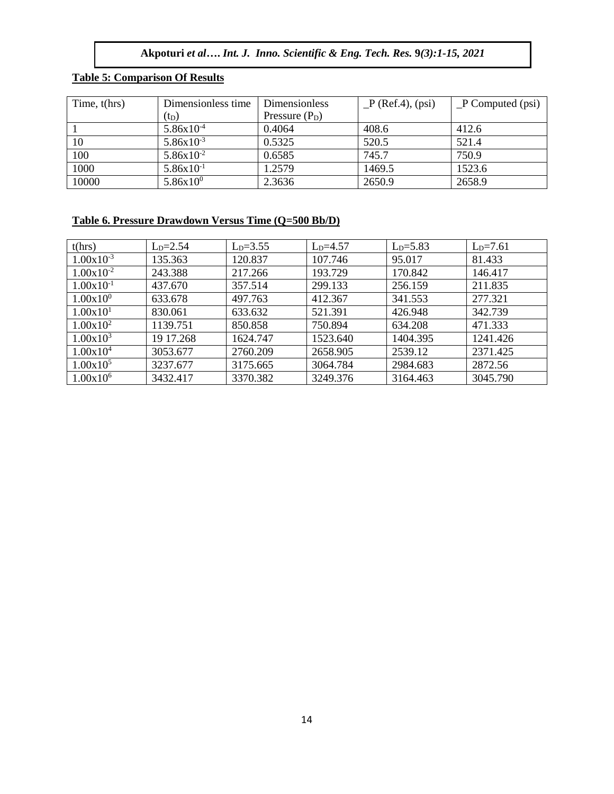# **Table 5: Comparison Of Results**

| Time, $t(hrs)$ | Dimensionless time | <b>Dimensionless</b> | $P$ (Ref.4), (psi) | $P$ Computed (psi) |
|----------------|--------------------|----------------------|--------------------|--------------------|
|                | $(t_D)$            | Pressure $(P_D)$     |                    |                    |
|                | $5.86x10^{-4}$     | 0.4064               | 408.6              | 412.6              |
| 10             | $5.86x10^{-3}$     | 0.5325               | 520.5              | 521.4              |
| 100            | $5.86x10^{-2}$     | 0.6585               | 745.7              | 750.9              |
| 1000           | $5.86x10^{-1}$     | 1.2579               | 1469.5             | 1523.6             |
| 10000          | $5.86x10^{0}$      | 2.3636               | 2650.9             | 2658.9             |

# **Table 6. Pressure Drawdown Versus Time (Q=500 Bb/D)**

| t(hrs)         | $L_{D} = 2.54$ | $L_{D} = 3.55$ | $LD=4.57$ | $L_{D} = 5.83$ | $L_{D} = 7.61$ |
|----------------|----------------|----------------|-----------|----------------|----------------|
| $1.00x10^{-3}$ | 135.363        | 120.837        | 107.746   | 95.017         | 81.433         |
| $1.00x10^{-2}$ | 243.388        | 217.266        | 193.729   | 170.842        | 146.417        |
| $1.00x10^{-1}$ | 437.670        | 357.514        | 299.133   | 256.159        | 211.835        |
| $1.00x10^{0}$  | 633.678        | 497.763        | 412.367   | 341.553        | 277.321        |
| 1.00x101       | 830.061        | 633.632        | 521.391   | 426.948        | 342.739        |
| $1.00x10^2$    | 1139.751       | 850.858        | 750.894   | 634.208        | 471.333        |
| $1.00x10^3$    | 19 17.268      | 1624.747       | 1523.640  | 1404.395       | 1241.426       |
| $1.00x10^4$    | 3053.677       | 2760.209       | 2658.905  | 2539.12        | 2371.425       |
| $1.00x10^5$    | 3237.677       | 3175.665       | 3064.784  | 2984.683       | 2872.56        |
| $1.00x10^6$    | 3432.417       | 3370.382       | 3249.376  | 3164.463       | 3045.790       |